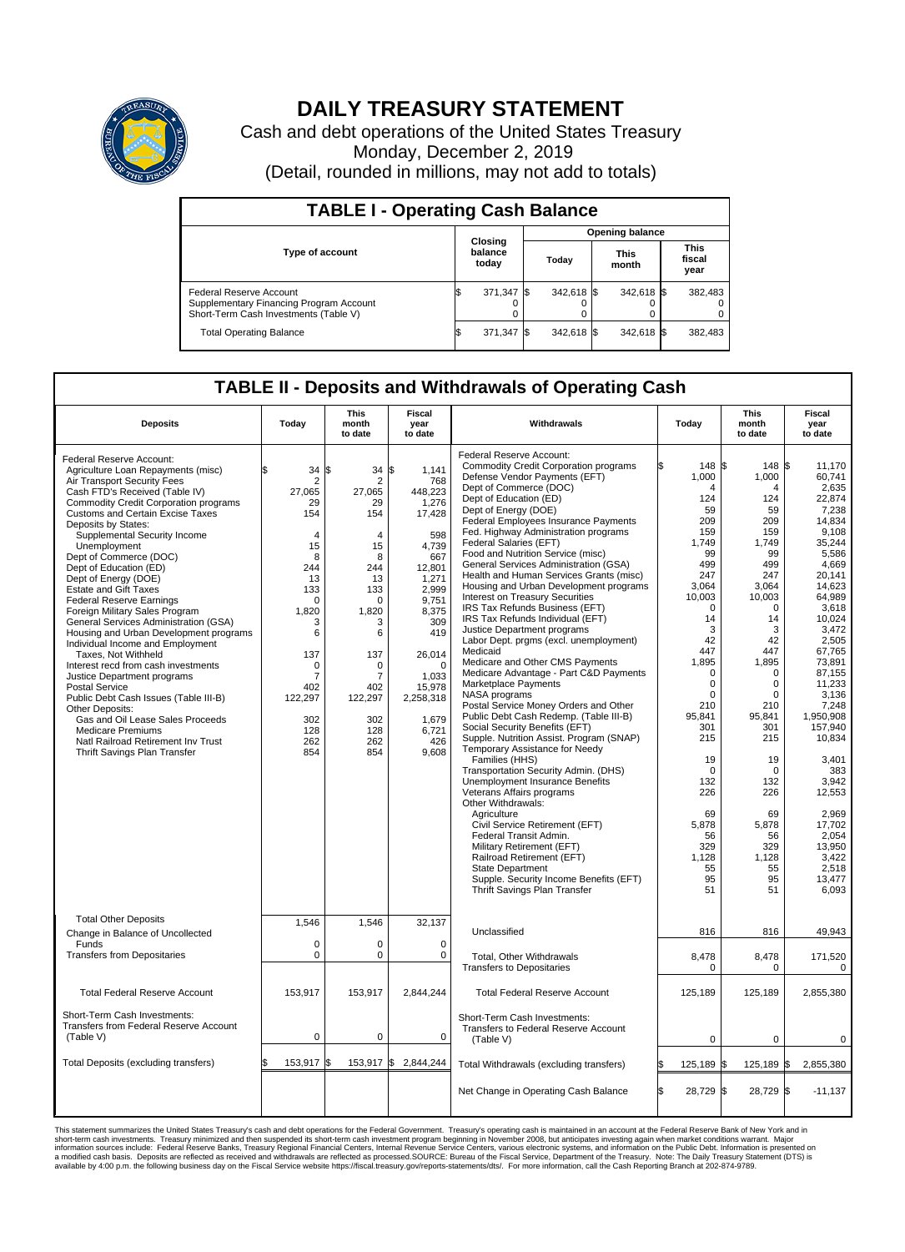

## **DAILY TREASURY STATEMENT**

Cash and debt operations of the United States Treasury Monday, December 2, 2019 (Detail, rounded in millions, may not add to totals)

| <b>TABLE I - Operating Cash Balance</b>                                                                     |     |                             |  |                        |  |                      |  |                               |  |  |  |
|-------------------------------------------------------------------------------------------------------------|-----|-----------------------------|--|------------------------|--|----------------------|--|-------------------------------|--|--|--|
|                                                                                                             |     |                             |  | <b>Opening balance</b> |  |                      |  |                               |  |  |  |
| Type of account                                                                                             |     | Closing<br>balance<br>today |  | Today                  |  | <b>This</b><br>month |  | <b>This</b><br>fiscal<br>year |  |  |  |
| Federal Reserve Account<br>Supplementary Financing Program Account<br>Short-Term Cash Investments (Table V) |     | 371,347                     |  | 342,618 \$             |  | 342,618 \$           |  | 382,483                       |  |  |  |
| <b>Total Operating Balance</b>                                                                              | I\$ | 371,347                     |  | 342,618 \$             |  | 342,618 \$           |  | 382,483                       |  |  |  |

## **TABLE II - Deposits and Withdrawals of Operating Cash**

| <b>Deposits</b>                                                                                                                                                                                                                                                                                                                                                                                                                                                                                                                                                                                                                                                                                                                                                                                                                                                                                                                   | Today                                                                                                                                                                                                      | <b>This</b><br>month<br>to date                                                                                                                                                                                        | Fiscal<br>year<br>to date                                                                                                                                                                                             | Withdrawals                                                                                                                                                                                                                                                                                                                                                                                                                                                                                                                                                                                                                                                                                                                                                                                                                                                                                                                                                                                                                                                                                                                                                                                                                                                                                                                                                                                | Today                                                                                                                                                                                                                                                                                                    | <b>This</b><br>month<br>to date                                                                                                                                                                                                                                                                                 | Fiscal<br>year<br>to date                                                                                                                                                                                                                                                                                                                                                       |
|-----------------------------------------------------------------------------------------------------------------------------------------------------------------------------------------------------------------------------------------------------------------------------------------------------------------------------------------------------------------------------------------------------------------------------------------------------------------------------------------------------------------------------------------------------------------------------------------------------------------------------------------------------------------------------------------------------------------------------------------------------------------------------------------------------------------------------------------------------------------------------------------------------------------------------------|------------------------------------------------------------------------------------------------------------------------------------------------------------------------------------------------------------|------------------------------------------------------------------------------------------------------------------------------------------------------------------------------------------------------------------------|-----------------------------------------------------------------------------------------------------------------------------------------------------------------------------------------------------------------------|--------------------------------------------------------------------------------------------------------------------------------------------------------------------------------------------------------------------------------------------------------------------------------------------------------------------------------------------------------------------------------------------------------------------------------------------------------------------------------------------------------------------------------------------------------------------------------------------------------------------------------------------------------------------------------------------------------------------------------------------------------------------------------------------------------------------------------------------------------------------------------------------------------------------------------------------------------------------------------------------------------------------------------------------------------------------------------------------------------------------------------------------------------------------------------------------------------------------------------------------------------------------------------------------------------------------------------------------------------------------------------------------|----------------------------------------------------------------------------------------------------------------------------------------------------------------------------------------------------------------------------------------------------------------------------------------------------------|-----------------------------------------------------------------------------------------------------------------------------------------------------------------------------------------------------------------------------------------------------------------------------------------------------------------|---------------------------------------------------------------------------------------------------------------------------------------------------------------------------------------------------------------------------------------------------------------------------------------------------------------------------------------------------------------------------------|
| Federal Reserve Account:<br>Agriculture Loan Repayments (misc)<br>Air Transport Security Fees<br>Cash FTD's Received (Table IV)<br><b>Commodity Credit Corporation programs</b><br><b>Customs and Certain Excise Taxes</b><br>Deposits by States:<br>Supplemental Security Income<br>Unemployment<br>Dept of Commerce (DOC)<br>Dept of Education (ED)<br>Dept of Energy (DOE)<br><b>Estate and Gift Taxes</b><br><b>Federal Reserve Earnings</b><br>Foreign Military Sales Program<br>General Services Administration (GSA)<br>Housing and Urban Development programs<br>Individual Income and Employment<br>Taxes. Not Withheld<br>Interest recd from cash investments<br>Justice Department programs<br><b>Postal Service</b><br>Public Debt Cash Issues (Table III-B)<br>Other Deposits:<br>Gas and Oil Lease Sales Proceeds<br><b>Medicare Premiums</b><br>Natl Railroad Retirement Inv Trust<br>Thrift Savings Plan Transfer | \$<br>34<br>$\overline{2}$<br>27,065<br>29<br>154<br>$\overline{4}$<br>15<br>8<br>244<br>13<br>133<br>$\Omega$<br>1,820<br>3<br>6<br>137<br>$\mathbf 0$<br>7<br>402<br>122,297<br>302<br>128<br>262<br>854 | $34 \text{ }$ \$<br>l\$<br>$\overline{2}$<br>27,065<br>29<br>154<br>$\overline{4}$<br>15<br>8<br>244<br>13<br>133<br>$\Omega$<br>1,820<br>3<br>6<br>137<br>$\Omega$<br>7<br>402<br>122,297<br>302<br>128<br>262<br>854 | 1,141<br>768<br>448,223<br>1,276<br>17,428<br>598<br>4,739<br>667<br>12,801<br>1,271<br>2.999<br>9,751<br>8,375<br>309<br>419<br>26,014<br>$\Omega$<br>1,033<br>15,978<br>2,258,318<br>1.679<br>6,721<br>426<br>9,608 | Federal Reserve Account:<br><b>Commodity Credit Corporation programs</b><br>Defense Vendor Payments (EFT)<br>Dept of Commerce (DOC)<br>Dept of Education (ED)<br>Dept of Energy (DOE)<br><b>Federal Employees Insurance Payments</b><br>Fed. Highway Administration programs<br>Federal Salaries (EFT)<br>Food and Nutrition Service (misc)<br>General Services Administration (GSA)<br>Health and Human Services Grants (misc)<br>Housing and Urban Development programs<br>Interest on Treasury Securities<br>IRS Tax Refunds Business (EFT)<br>IRS Tax Refunds Individual (EFT)<br>Justice Department programs<br>Labor Dept. prgms (excl. unemployment)<br>Medicaid<br>Medicare and Other CMS Payments<br>Medicare Advantage - Part C&D Payments<br>Marketplace Payments<br>NASA programs<br>Postal Service Money Orders and Other<br>Public Debt Cash Redemp. (Table III-B)<br>Social Security Benefits (EFT)<br>Supple. Nutrition Assist. Program (SNAP)<br>Temporary Assistance for Needy<br>Families (HHS)<br>Transportation Security Admin. (DHS)<br>Unemployment Insurance Benefits<br>Veterans Affairs programs<br>Other Withdrawals:<br>Agriculture<br>Civil Service Retirement (EFT)<br>Federal Transit Admin.<br>Military Retirement (EFT)<br>Railroad Retirement (EFT)<br><b>State Department</b><br>Supple. Security Income Benefits (EFT)<br>Thrift Savings Plan Transfer | 148 \$<br>1,000<br>4<br>124<br>59<br>209<br>159<br>1,749<br>99<br>499<br>247<br>3,064<br>10,003<br>$\mathbf 0$<br>14<br>3<br>42<br>447<br>1,895<br>$\mathbf 0$<br>0<br>$\mathbf 0$<br>210<br>95,841<br>301<br>215<br>19<br>$\Omega$<br>132<br>226<br>69<br>5,878<br>56<br>329<br>1,128<br>55<br>95<br>51 | 148<br>1,000<br>4<br>124<br>59<br>209<br>159<br>1,749<br>99<br>499<br>247<br>3,064<br>10,003<br>$\mathbf 0$<br>14<br>3<br>42<br>447<br>1,895<br>$\mathbf 0$<br>$\mathbf 0$<br>$\mathbf 0$<br>210<br>95,841<br>301<br>215<br>19<br>$\Omega$<br>132<br>226<br>69<br>5,878<br>56<br>329<br>1,128<br>55<br>95<br>51 | l\$<br>11.170<br>60.741<br>2,635<br>22,874<br>7,238<br>14.834<br>9,108<br>35,244<br>5,586<br>4,669<br>20.141<br>14,623<br>64.989<br>3,618<br>10.024<br>3,472<br>2.505<br>67,765<br>73,891<br>87,155<br>11,233<br>3,136<br>7.248<br>1,950,908<br>157.940<br>10,834<br>3,401<br>383<br>3.942<br>12,553<br>2,969<br>17.702<br>2,054<br>13.950<br>3,422<br>2,518<br>13,477<br>6,093 |
| <b>Total Other Deposits</b><br>Change in Balance of Uncollected                                                                                                                                                                                                                                                                                                                                                                                                                                                                                                                                                                                                                                                                                                                                                                                                                                                                   | 1,546                                                                                                                                                                                                      | 1,546                                                                                                                                                                                                                  | 32,137                                                                                                                                                                                                                | Unclassified                                                                                                                                                                                                                                                                                                                                                                                                                                                                                                                                                                                                                                                                                                                                                                                                                                                                                                                                                                                                                                                                                                                                                                                                                                                                                                                                                                               | 816                                                                                                                                                                                                                                                                                                      | 816                                                                                                                                                                                                                                                                                                             | 49,943                                                                                                                                                                                                                                                                                                                                                                          |
| Funds<br><b>Transfers from Depositaries</b>                                                                                                                                                                                                                                                                                                                                                                                                                                                                                                                                                                                                                                                                                                                                                                                                                                                                                       | $\Omega$<br>$\mathbf 0$                                                                                                                                                                                    | $\Omega$<br>$\mathbf 0$                                                                                                                                                                                                | $\Omega$<br>$\mathbf 0$                                                                                                                                                                                               | Total, Other Withdrawals<br><b>Transfers to Depositaries</b>                                                                                                                                                                                                                                                                                                                                                                                                                                                                                                                                                                                                                                                                                                                                                                                                                                                                                                                                                                                                                                                                                                                                                                                                                                                                                                                               | 8,478<br>0                                                                                                                                                                                                                                                                                               | 8,478<br>$\mathbf 0$                                                                                                                                                                                                                                                                                            | 171,520<br>0                                                                                                                                                                                                                                                                                                                                                                    |
| <b>Total Federal Reserve Account</b>                                                                                                                                                                                                                                                                                                                                                                                                                                                                                                                                                                                                                                                                                                                                                                                                                                                                                              | 153,917                                                                                                                                                                                                    | 153,917                                                                                                                                                                                                                | 2,844,244                                                                                                                                                                                                             | <b>Total Federal Reserve Account</b>                                                                                                                                                                                                                                                                                                                                                                                                                                                                                                                                                                                                                                                                                                                                                                                                                                                                                                                                                                                                                                                                                                                                                                                                                                                                                                                                                       | 125,189                                                                                                                                                                                                                                                                                                  | 125,189                                                                                                                                                                                                                                                                                                         | 2,855,380                                                                                                                                                                                                                                                                                                                                                                       |
| Short-Term Cash Investments:<br>Transfers from Federal Reserve Account<br>(Table V)                                                                                                                                                                                                                                                                                                                                                                                                                                                                                                                                                                                                                                                                                                                                                                                                                                               | 0                                                                                                                                                                                                          | 0                                                                                                                                                                                                                      | 0                                                                                                                                                                                                                     | Short-Term Cash Investments:<br>Transfers to Federal Reserve Account<br>(Table V)                                                                                                                                                                                                                                                                                                                                                                                                                                                                                                                                                                                                                                                                                                                                                                                                                                                                                                                                                                                                                                                                                                                                                                                                                                                                                                          | $\mathbf 0$                                                                                                                                                                                                                                                                                              | $\mathbf 0$                                                                                                                                                                                                                                                                                                     | 0                                                                                                                                                                                                                                                                                                                                                                               |
| Total Deposits (excluding transfers)                                                                                                                                                                                                                                                                                                                                                                                                                                                                                                                                                                                                                                                                                                                                                                                                                                                                                              | 153,917 \$                                                                                                                                                                                                 | 153,917 \$                                                                                                                                                                                                             | 2,844,244                                                                                                                                                                                                             | Total Withdrawals (excluding transfers)                                                                                                                                                                                                                                                                                                                                                                                                                                                                                                                                                                                                                                                                                                                                                                                                                                                                                                                                                                                                                                                                                                                                                                                                                                                                                                                                                    | 125,189                                                                                                                                                                                                                                                                                                  | 125,189 \$<br>l\$                                                                                                                                                                                                                                                                                               | 2,855,380                                                                                                                                                                                                                                                                                                                                                                       |
|                                                                                                                                                                                                                                                                                                                                                                                                                                                                                                                                                                                                                                                                                                                                                                                                                                                                                                                                   |                                                                                                                                                                                                            |                                                                                                                                                                                                                        |                                                                                                                                                                                                                       | Net Change in Operating Cash Balance                                                                                                                                                                                                                                                                                                                                                                                                                                                                                                                                                                                                                                                                                                                                                                                                                                                                                                                                                                                                                                                                                                                                                                                                                                                                                                                                                       | 28,729 \$<br>\$                                                                                                                                                                                                                                                                                          | 28,729                                                                                                                                                                                                                                                                                                          | $-11,137$<br>1\$                                                                                                                                                                                                                                                                                                                                                                |

This statement summarizes the United States Treasury's cash and debt operations for the Federal Government. Treasury soperating in November 2008, but anticiarded in a cocount at the Federal metaformation sources investment